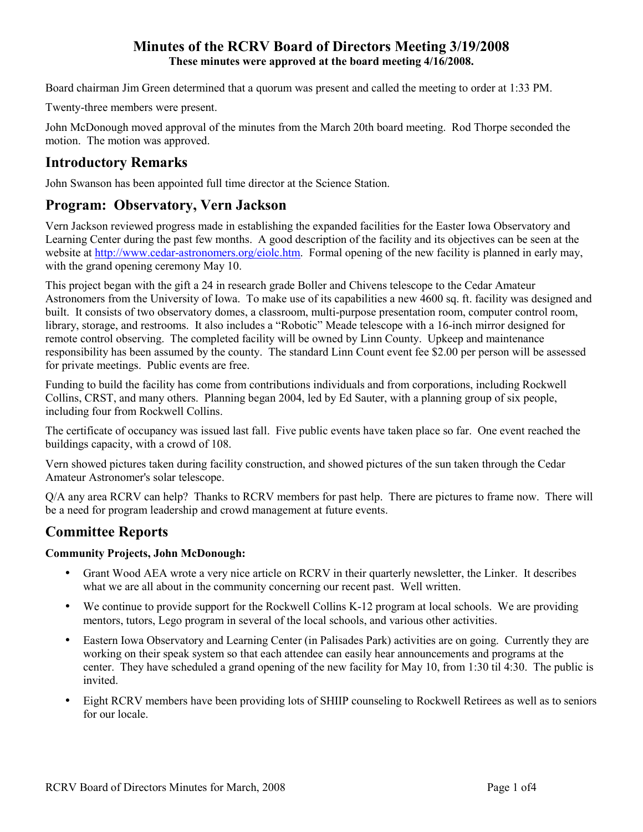# **Minutes of the RCRV Board of Directors Meeting 3/19/2008 These minutes were approved at the board meeting 4/16/2008.**

Board chairman Jim Green determined that a quorum was present and called the meeting to order at 1:33 PM.

Twenty-three members were present.

John McDonough moved approval of the minutes from the March 20th board meeting. Rod Thorpe seconded the motion. The motion was approved.

# **Introductory Remarks**

John Swanson has been appointed full time director at the Science Station.

# **Program: Observatory, Vern Jackson**

Vern Jackson reviewed progress made in establishing the expanded facilities for the Easter Iowa Observatory and Learning Center during the past few months. A good description of the facility and its objectives can be seen at the website at http://www.cedar-astronomers.org/eiolc.htm. Formal opening of the new facility is planned in early may, with the grand opening ceremony May 10.

This project began with the gift a 24 in research grade Boller and Chivens telescope to the Cedar Amateur Astronomers from the University of Iowa. To make use of its capabilities a new 4600 sq. ft. facility was designed and built. It consists of two observatory domes, a classroom, multi-purpose presentation room, computer control room, library, storage, and restrooms. It also includes a "Robotic" Meade telescope with a 16-inch mirror designed for remote control observing. The completed facility will be owned by Linn County. Upkeep and maintenance responsibility has been assumed by the county. The standard Linn Count event fee \$2.00 per person will be assessed for private meetings. Public events are free.

Funding to build the facility has come from contributions individuals and from corporations, including Rockwell Collins, CRST, and many others. Planning began 2004, led by Ed Sauter, with a planning group of six people, including four from Rockwell Collins.

The certificate of occupancy was issued last fall. Five public events have taken place so far. One event reached the buildings capacity, with a crowd of 108.

Vern showed pictures taken during facility construction, and showed pictures of the sun taken through the Cedar Amateur Astronomer's solar telescope.

Q/A any area RCRV can help? Thanks to RCRV members for past help. There are pictures to frame now. There will be a need for program leadership and crowd management at future events.

# **Committee Reports**

## **Community Projects, John McDonough:**

- Grant Wood AEA wrote a very nice article on RCRV in their quarterly newsletter, the Linker. It describes what we are all about in the community concerning our recent past. Well written.
- We continue to provide support for the Rockwell Collins K-12 program at local schools. We are providing mentors, tutors, Lego program in several of the local schools, and various other activities.
- Eastern Iowa Observatory and Learning Center (in Palisades Park) activities are on going. Currently they are working on their speak system so that each attendee can easily hear announcements and programs at the center. They have scheduled a grand opening of the new facility for May 10, from 1:30 til 4:30. The public is invited.
- Eight RCRV members have been providing lots of SHIIP counseling to Rockwell Retirees as well as to seniors for our locale.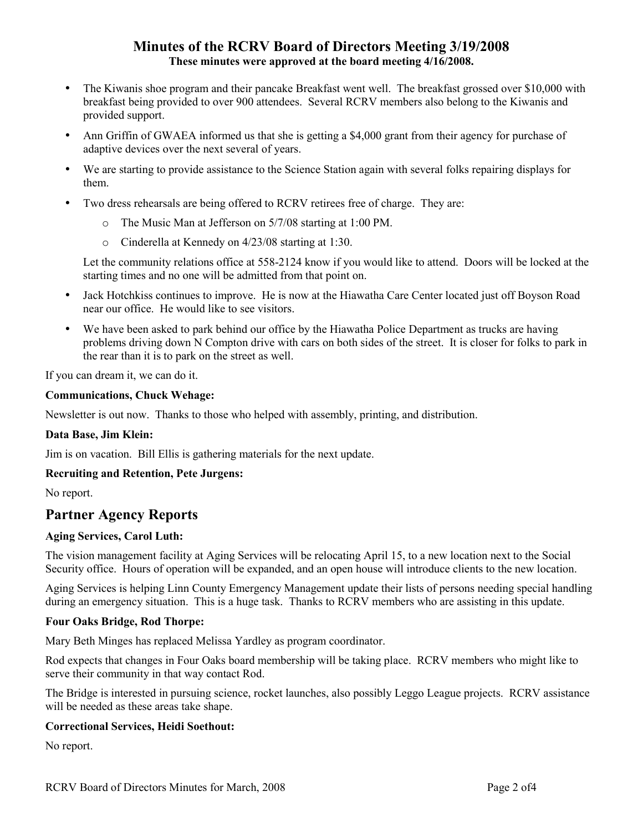# **Minutes of the RCRV Board of Directors Meeting 3/19/2008 These minutes were approved at the board meeting 4/16/2008.**

- The Kiwanis shoe program and their pancake Breakfast went well. The breakfast grossed over \$10,000 with breakfast being provided to over 900 attendees. Several RCRV members also belong to the Kiwanis and provided support.
- Ann Griffin of GWAEA informed us that she is getting a \$4,000 grant from their agency for purchase of adaptive devices over the next several of years.
- We are starting to provide assistance to the Science Station again with several folks repairing displays for them.
- Two dress rehearsals are being offered to RCRV retirees free of charge. They are:
	- o The Music Man at Jefferson on 5/7/08 starting at 1:00 PM.
	- o Cinderella at Kennedy on 4/23/08 starting at 1:30.

Let the community relations office at 558-2124 know if you would like to attend. Doors will be locked at the starting times and no one will be admitted from that point on.

- Jack Hotchkiss continues to improve. He is now at the Hiawatha Care Center located just off Boyson Road near our office. He would like to see visitors.
- We have been asked to park behind our office by the Hiawatha Police Department as trucks are having problems driving down N Compton drive with cars on both sides of the street. It is closer for folks to park in the rear than it is to park on the street as well.

If you can dream it, we can do it.

#### **Communications, Chuck Wehage:**

Newsletter is out now. Thanks to those who helped with assembly, printing, and distribution.

#### **Data Base, Jim Klein:**

Jim is on vacation. Bill Ellis is gathering materials for the next update.

#### **Recruiting and Retention, Pete Jurgens:**

No report.

# **Partner Agency Reports**

#### **Aging Services, Carol Luth:**

The vision management facility at Aging Services will be relocating April 15, to a new location next to the Social Security office. Hours of operation will be expanded, and an open house will introduce clients to the new location.

Aging Services is helping Linn County Emergency Management update their lists of persons needing special handling during an emergency situation. This is a huge task. Thanks to RCRV members who are assisting in this update.

#### **Four Oaks Bridge, Rod Thorpe:**

Mary Beth Minges has replaced Melissa Yardley as program coordinator.

Rod expects that changes in Four Oaks board membership will be taking place. RCRV members who might like to serve their community in that way contact Rod.

The Bridge is interested in pursuing science, rocket launches, also possibly Leggo League projects. RCRV assistance will be needed as these areas take shape.

#### **Correctional Services, Heidi Soethout:**

No report.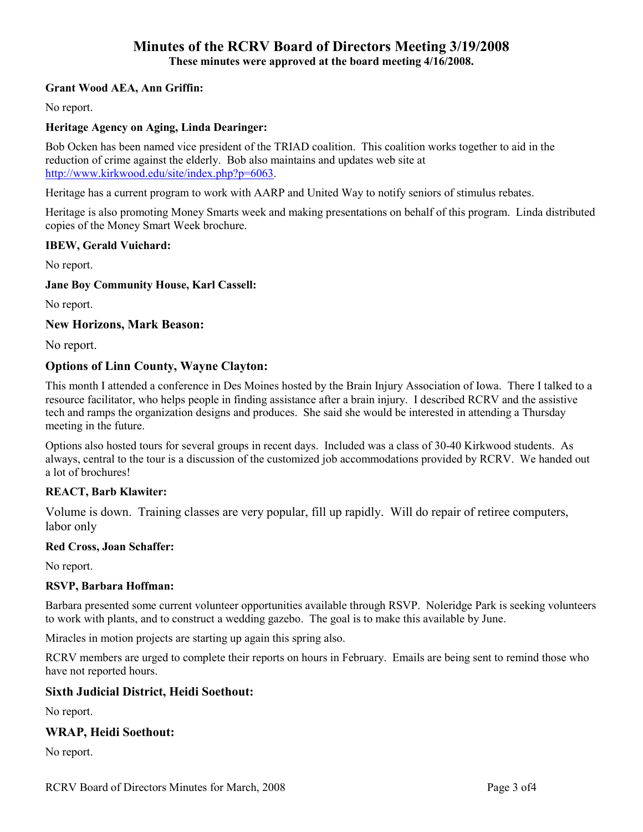# **Minutes of the RCRV Board of Directors Meeting 3/19/2008**

**These minutes were approved at the board meeting 4/16/2008.** 

#### **Grant Wood AEA, Ann Griffin:**

No report.

#### **Heritage Agency on Aging, Linda Dearinger:**

Bob Ocken has been named vice president of the TRIAD coalition. This coalition works together to aid in the reduction of crime against the elderly. Bob also maintains and updates web site at http://www.kirkwood.edu/site/index.php?p=6063.

Heritage has a current program to work with AARP and United Way to notify seniors of stimulus rebates.

Heritage is also promoting Money Smarts week and making presentations on behalf of this program. Linda distributed copies of the Money Smart Week brochure.

#### **IBEW, Gerald Vuichard:**

No report.

#### **Jane Boy Community House, Karl Cassell:**

No report.

#### **New Horizons, Mark Beason:**

No report.

### **Options of Linn County, Wayne Clayton:**

This month I attended a conference in Des Moines hosted by the Brain Injury Association of Iowa. There I talked to a resource facilitator, who helps people in finding assistance after a brain injury. I described RCRV and the assistive tech and ramps the organization designs and produces. She said she would be interested in attending a Thursday meeting in the future.

Options also hosted tours for several groups in recent days. Included was a class of 30-40 Kirkwood students. As always, central to the tour is a discussion of the customized job accommodations provided by RCRV. We handed out a lot of brochures!

#### **REACT, Barb Klawiter:**

Volume is down. Training classes are very popular, fill up rapidly. Will do repair of retiree computers, labor only

#### **Red Cross, Joan Schaffer:**

No report.

#### **RSVP, Barbara Hoffman:**

Barbara presented some current volunteer opportunities available through RSVP. Noleridge Park is seeking volunteers to work with plants, and to construct a wedding gazebo. The goal is to make this available by June.

Miracles in motion projects are starting up again this spring also.

RCRV members are urged to complete their reports on hours in February. Emails are being sent to remind those who have not reported hours.

## **Sixth Judicial District, Heidi Soethout:**

No report.

## **WRAP, Heidi Soethout:**

No report.